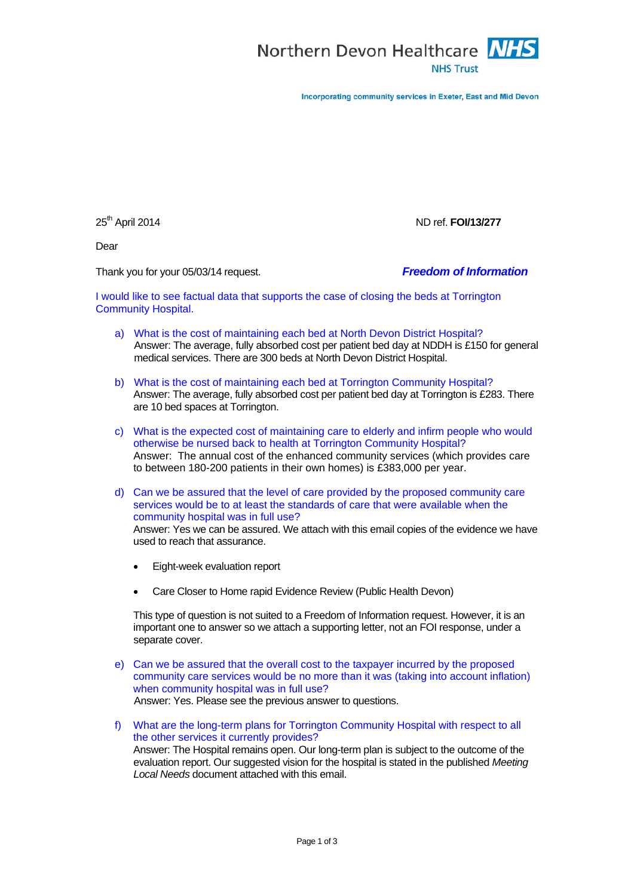

Incorporating community services in Exeter, East and Mid Devon

25th April 2014 ND ref. **FOI/13/277**

Dear

Thank you for your 05/03/14 request. *Freedom of Information*

I would like to see factual data that supports the case of closing the beds at Torrington Community Hospital.

- a) What is the cost of maintaining each bed at North Devon District Hospital? Answer: The average, fully absorbed cost per patient bed day at NDDH is £150 for general medical services. There are 300 beds at North Devon District Hospital.
- b) What is the cost of maintaining each bed at Torrington Community Hospital? Answer: The average, fully absorbed cost per patient bed day at Torrington is £283. There are 10 bed spaces at Torrington.
- c) What is the expected cost of maintaining care to elderly and infirm people who would otherwise be nursed back to health at Torrington Community Hospital? Answer: The annual cost of the enhanced community services (which provides care to between 180-200 patients in their own homes) is £383,000 per year.
- d) Can we be assured that the level of care provided by the proposed community care services would be to at least the standards of care that were available when the community hospital was in full use?

Answer: Yes we can be assured. We attach with this email copies of the evidence we have used to reach that assurance.

- Eight-week evaluation report
- Care Closer to Home rapid Evidence Review (Public Health Devon)

This type of question is not suited to a Freedom of Information request. However, it is an important one to answer so we attach a supporting letter, not an FOI response, under a separate cover.

- e) Can we be assured that the overall cost to the taxpayer incurred by the proposed community care services would be no more than it was (taking into account inflation) when community hospital was in full use? Answer: Yes. Please see the previous answer to questions.
- f) What are the long-term plans for Torrington Community Hospital with respect to all the other services it currently provides? Answer: The Hospital remains open. Our long-term plan is subject to the outcome of the evaluation report. Our suggested vision for the hospital is stated in the published *Meeting Local Needs* document attached with this email.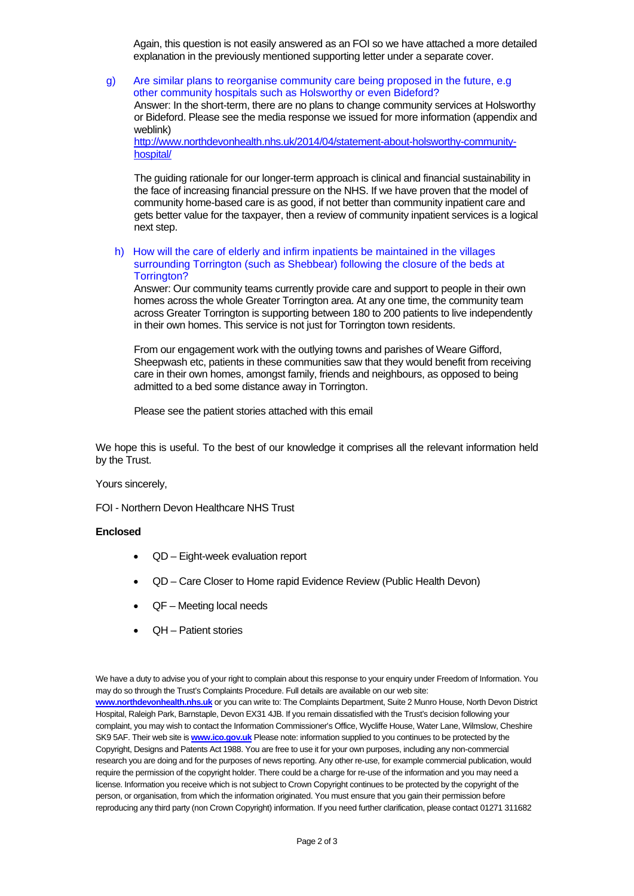Again, this question is not easily answered as an FOI so we have attached a more detailed explanation in the previously mentioned supporting letter under a separate cover.

g) Are similar plans to reorganise community care being proposed in the future, e.g other community hospitals such as Holsworthy or even Bideford? Answer: In the short-term, there are no plans to change community services at Holsworthy or Bideford. Please see the media response we issued for more information (appendix and weblink) [http://www.northdevonhealth.nhs.uk/2014/04/statement-about-holsworthy-community-](https://web.nhs.net/owa/ndht.FOI@nhs.net/redir.aspx?C=_OfwJatvYEyIprRQOPcl8Djef_lVKNFIiUWCQZYfphS0Oc-df5X_4cxHO7Wgd4PY__FiIpI3miI.&URL=http%3a%2f%2fwww.northdevonhealth.nhs.uk%2f2014%2f04%2fstatement-about-holsworthy-community-hospital%2f)

[hospital/](https://web.nhs.net/owa/ndht.FOI@nhs.net/redir.aspx?C=_OfwJatvYEyIprRQOPcl8Djef_lVKNFIiUWCQZYfphS0Oc-df5X_4cxHO7Wgd4PY__FiIpI3miI.&URL=http%3a%2f%2fwww.northdevonhealth.nhs.uk%2f2014%2f04%2fstatement-about-holsworthy-community-hospital%2f)

The guiding rationale for our longer-term approach is clinical and financial sustainability in the face of increasing financial pressure on the NHS. If we have proven that the model of community home-based care is as good, if not better than community inpatient care and gets better value for the taxpayer, then a review of community inpatient services is a logical next step.

h) How will the care of elderly and infirm inpatients be maintained in the villages surrounding Torrington (such as Shebbear) following the closure of the beds at Torrington?

Answer: Our community teams currently provide care and support to people in their own homes across the whole Greater Torrington area. At any one time, the community team across Greater Torrington is supporting between 180 to 200 patients to live independently in their own homes. This service is not just for Torrington town residents.

From our engagement work with the outlying towns and parishes of Weare Gifford, Sheepwash etc, patients in these communities saw that they would benefit from receiving care in their own homes, amongst family, friends and neighbours, as opposed to being admitted to a bed some distance away in Torrington.

Please see the patient stories attached with this email

We hope this is useful. To the best of our knowledge it comprises all the relevant information held by the Trust.

## Yours sincerely,

FOI - Northern Devon Healthcare NHS Trust

## **Enclosed**

- QD Eight-week evaluation report
- QD Care Closer to Home rapid Evidence Review (Public Health Devon)
- QF Meeting local needs
- QH Patient stories

We have a duty to advise you of your right to complain about this response to your enquiry under Freedom of Information. You may do so through the Trust's Complaints Procedure. Full details are available on our web site: **[www.northdevonhealth.nhs.uk](http://www.northdevonhealth.nhs.uk/)** or you can write to: The Complaints Department, Suite 2 Munro House, North Devon District Hospital, Raleigh Park, Barnstaple, Devon EX31 4JB. If you remain dissatisfied with the Trust's decision following your complaint, you may wish to contact the Information Commissioner's Office, Wycliffe House, Water Lane, Wilmslow, Cheshire SK9 5AF. Their web site is **[www.ico.gov.uk](http://www.ico.gov.uk/)** Please note: information supplied to you continues to be protected by the Copyright, Designs and Patents Act 1988. You are free to use it for your own purposes, including any non-commercial research you are doing and for the purposes of news reporting. Any other re-use, for example commercial publication, would require the permission of the copyright holder. There could be a charge for re-use of the information and you may need a license. Information you receive which is not subject to Crown Copyright continues to be protected by the copyright of the person, or organisation, from which the information originated. You must ensure that you gain their permission before reproducing any third party (non Crown Copyright) information. If you need further clarification, please contact 01271 311682